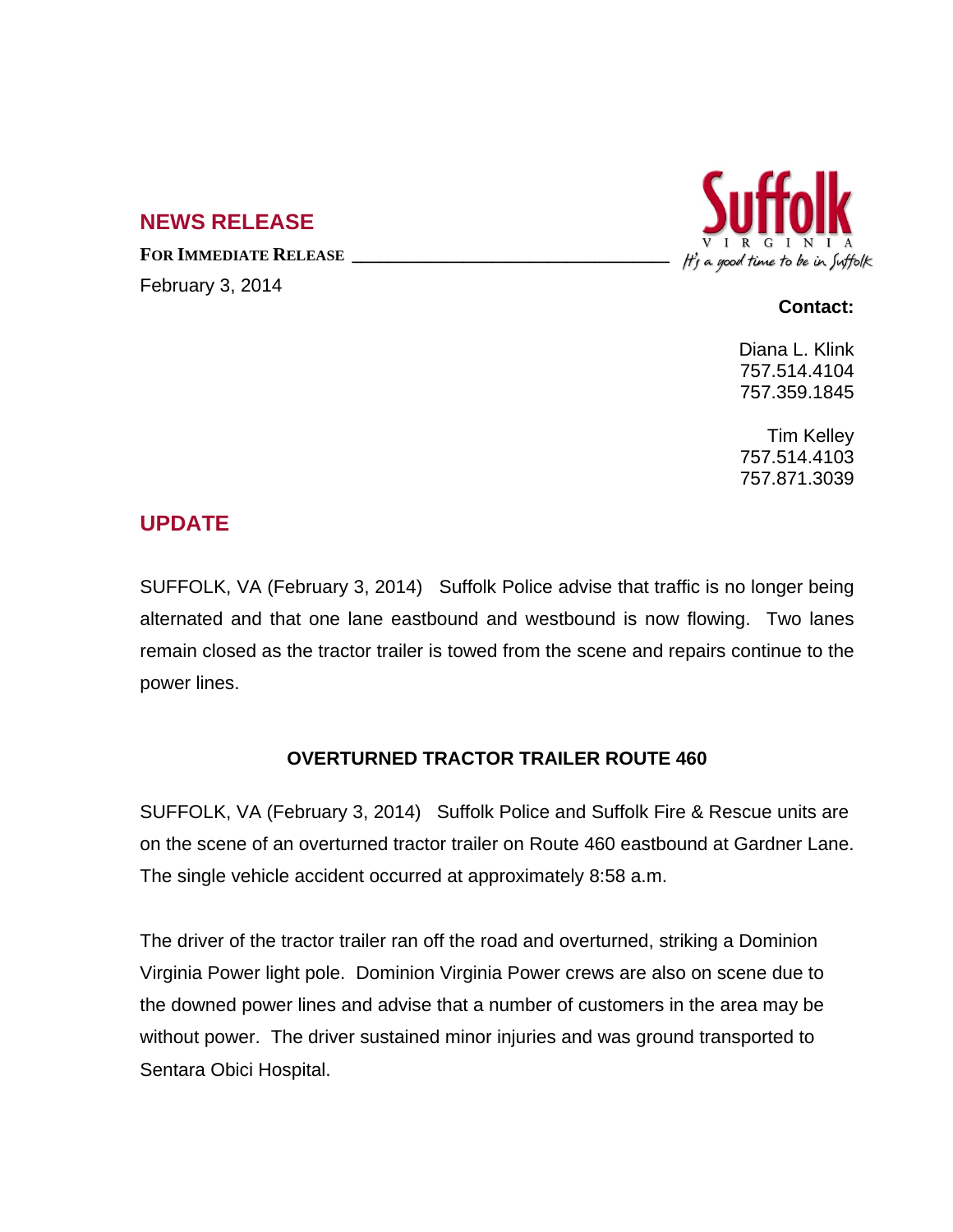## **NEWS RELEASE**

**FOR IMMEDIATE RELEASE \_\_\_\_\_\_\_\_\_\_\_\_\_\_\_\_\_\_\_\_\_\_\_\_\_\_\_\_\_\_\_\_\_\_** February 3, 2014



## **Contact:**

Diana L. Klink 757.514.4104 757.359.1845

Tim Kelley 757.514.4103 757.871.3039

## **UPDATE**

SUFFOLK, VA (February 3, 2014) Suffolk Police advise that traffic is no longer being alternated and that one lane eastbound and westbound is now flowing. Two lanes remain closed as the tractor trailer is towed from the scene and repairs continue to the power lines.

## **OVERTURNED TRACTOR TRAILER ROUTE 460**

SUFFOLK, VA (February 3, 2014) Suffolk Police and Suffolk Fire & Rescue units are on the scene of an overturned tractor trailer on Route 460 eastbound at Gardner Lane. The single vehicle accident occurred at approximately 8:58 a.m.

The driver of the tractor trailer ran off the road and overturned, striking a Dominion Virginia Power light pole. Dominion Virginia Power crews are also on scene due to the downed power lines and advise that a number of customers in the area may be without power. The driver sustained minor injuries and was ground transported to Sentara Obici Hospital.